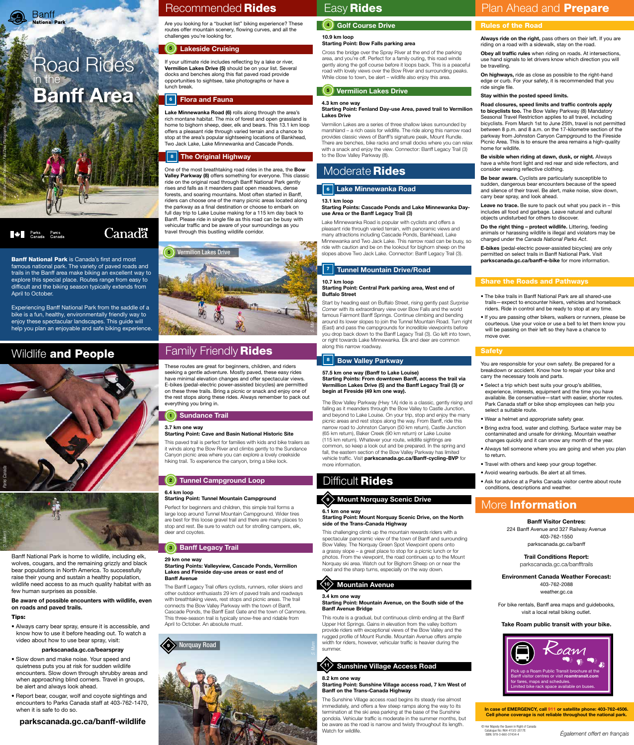





# Road Rides in the Banff Area

## Recommended Rides **Easy Rides**

© Her Majesty the Queen in Right of Canada Catalogue No: R64-413/2-201<br>ISBN: 978-0-660-07434-4

## Banff Visitor Centres: 224 Banff Avenue and 327 Railway Avenue 403-762-1550 parkscanada.gc.ca/banff

### Trail Conditions Report: parkscanada.gc.ca/banfftrails

### Environment Canada Weather Forecast:

403-762-2088 weather.gc.ca

**Banff National Park is Canada's first and most** famous national park. The variety of paved roads and trails in the Banff area make biking an excellent way to explore this special place. Routes range from easy to difficult and the biking season typically extends from

> For bike rentals, Banff area maps and guidebooks, visit a local retail biking outlet.

### Take Roam public transit with your bike.

#### In case of EMERGENCY, call 911 or satellite phone: 403-762-4506. Cell phone coverage is not reliable throughout the national park.

Always ride on the right, pass others on their left. If you are riding on a road with a sidewalk, stay on the road.

ISBN: 978-0-660-07434-4 *Également offert en français*

April to October.

**Extra Parks** Parcs<br>Canada Canada

Experiencing Banff National Park from the saddle of a bike is a fun, healthy, environmentally friendly way to enjoy these spectacular landscapes. This guide will

**Canadä** 



Leave no trace. Be sure to pack out what you pack in - this includes all food and garbage. Leave natural and cultural objects undisturbed for others to discover.

help you plan an enjoyable and safe biking experience.

# Wildlife and People Family Friendly Rides

## Rules of the Road

Obey all traffic rules when riding on roads. At intersections, use hand signals to let drivers know which direction you will be travelling.

On highways, ride as close as possible to the right-hand edge or curb. For your safety, it is recommended that you ride single file.

## Stay within the posted speed limits.

Road closures, speed limits and traffic controls apply to bicyclists too. The Bow Valley Parkway (8) Mandatory Seasonal Travel Restriction applies to all travel, including bicyclists. From March 1st to June 25th, travel is not permitted between 8 p.m. and 8 a.m. on the 17-kilometre section of the parkway from Johnston Canyon Campground to the Fireside Picnic Area. This is to ensure the area remains a high-quality home for wildlife.

Be visible when riding at dawn, dusk, or night. Always have a white front light and red rear and side reflectors, and consider wearing reflective clothing.

Be bear aware. Cyclists are particularly susceptible to sudden, dangerous bear encounters because of the speed and silence of their travel. Be alert, make noise, slow down, carry bear spray, and look ahead.

Do the right thing – protect wildlife. Littering, feeding animals or harassing wildlife is illegal and violators may be charged under the *Canada National Parks Act*.

E-bikes (pedal-electric power-assisted bicycles) are only permitted on select trails in Banff National Park. Visit parkscanada.gc.ca/banff-e-bike for more information.

Lake Minnewanka Road (6) rolls along through the area's rich montane habitat. The mix of forest and open grassland is home to bighorn sheep, deer, elk and bears. This 13.1 km loop offers a pleasant ride through varied terrain and a chance to stop at the area's popular sightseeing locations of Bankhead, Two Jack Lake, Lake Minnewanka and Cascade Ponds.

## | 8 | The Original Highway

Banff National Park is home to wildlife, including elk, wolves, cougars, and the remaining grizzly and black bear populations in North America. To successfully raise their young and sustain a healthy population, wildlife need access to as much quality habitat with as few human surprises as possible.

Be aware of possible encounters with wildlife, even on roads and paved trails.

One of the most breathtaking road rides in the area, the **Bow** Valley Parkway (8) offers something for everyone. This classic ride on the original road through Banff National Park gently rises and falls as it meanders past open meadows, dense forests, and soaring mountains. Most often started in Banff, riders can choose one of the many picnic areas located along the parkway as a final destination or choose to embark on full day trip to Lake Louise making for a 115 km day back to Banff. Please ride in single file as this road can be busy with vehicular traffic and be aware of your surroundings as you travel through this bustling wildlife corridor.

## Tips:

• Always carry bear spray, ensure it is accessible, and know how to use it before heading out. To watch a video about how to use bear spray, visit:

### parkscanada.gc.ca/bearspray

- Slow down and make noise. Your speed and quietness puts you at risk for sudden wildlife encounters. Slow down through shrubby areas and when approaching blind corners. Travel in groups, be alert and always look ahead.
- Report bear, cougar, wolf and coyote sightings and encounters to Parks Canada staff at 403-762-1470, when it is safe to do so.

parkscanada.gc.ca/banff-wildlife

These routes are great for beginners, children, and riders seeking a gentle adventure. Mostly paved, these easy rides have minimal elevation changes and offer spectacular views. E-bikes (pedal-electric power-assisted bicycles) are permitted on these three trails. Bring a picnic or snack and enjoy one of the rest stops along these rides. Always remember to pack out everything you bring in.

### 3.7 km one way Starting Point: Cave and Basin National Historic Site

This paved trail is perfect for families with kids and bike trailers as it winds along the Bow River and climbs gently to the Sundance Canyon picnic area where you can explore a lovely creekside hiking trail. To experience the canyon, bring a bike lock.

## 6.4 km loop

## Starting Point: Tunnel Mountain Campground

Perfect for beginners and children, this simple trail forms a large loop around Tunnel Mountain Campground. Wider tires are best for this loose gravel trail and there are many places to stop and rest. Be sure to watch out for strolling campers, elk, deer and coyotes.

## (4) Golf Course Drive

#### 29 km one way

#### Mountain Avenue  $\langle 10 \rangle$

### Starting Points: Valleyview, Cascade Ponds, Vermilion Lakes and Fireside day-use areas or east end of Banff Avenue

The Banff Legacy Trail offers cyclists, runners, roller skiers and other outdoor enthusiasts 29 km of paved trails and roadways with breathtaking views, rest stops and picnic areas. The trail connects the Bow Valley Parkway with the town of Banff, Cascade Ponds, the Banff East Gate and the town of Canmore. This three-season trail is typically snow-free and ridable from April to October. An absolute must.

Are you looking for a "bucket list" biking experience? These routes offer mountain scenery, flowing curves, and all the challenges you're looking for.

If your ultimate ride includes reflecting by a lake or river, Vermilion Lakes Drive (5) should be on your list. Several docks and benches along this flat paved road provide opportunities to sightsee, take photographs or have a lunch break.



### 10.9 km loop Starting Point: Bow Falls parking area

Cross the bridge over the Spray River at the end of the parking area, and you're off. Perfect for a family outing, this road winds gently along the golf course before it loops back. This is a peaceful road with lovely views over the Bow River and surrounding peaks. While close to town, be alert – wildlife also enjoy this area.

#### 4.3 km one way Starting Point: Fenland Day-use Area, paved trail to Vermilion Lakes Drive

Vermilion Lakes are a series of three shallow lakes surrounded by marshland – a rich oasis for wildlife. The ride along this narrow road provides classic views of Banff's signature peak, Mount Rundle. There are benches, bike racks and small docks where you can relax with a snack and enjoy the view. Connector: Banff Legacy Trail (3) to the Bow Valley Parkway (8).

## Moderate **Rides**

## | 6 | Lake Minnewanka Road

### 13.1 km loop

### Starting Points: Cascade Ponds and Lake Minnewanka Dayuse Area or the Banff Legacy Trail (3)

Lake Minnewanka Road is popular with cyclists and offers a pleasant ride through varied terrain, with panoramic views and many attractions including Cascade Ponds, Bankhead, Lake Minnewanka and Two Jack Lake. This narrow road can be busy, so ride with caution and be on the lookout for bighorn sheep on the slopes above Two Jack Lake. Connector: Banff Legacy Trail (3).

### 10.7 km loop Starting Point: Central Park parking area, West end of Buffalo Street

#### Sundance Trail 1

#### Tunnel Campground Loop 2

Start by heading east on Buffalo Street, rising gently past *Surprise Corner* with its extraordinary view over Bow Falls and the world famous Fairmont Banff Springs. Continue climbing and bending around its lower slopes to join the Tunnel Mountain Road. Turn right (East) and pass the campgrounds for incredible viewpoints before you drop back down to the Banff Legacy Trail (3). Go left into town, or right towards Lake Minnewanka. Elk and deer are common along this narrow roadway.

#### Banff Legacy Trail 3

### 57.5 km one way (Banff to Lake Louise) Starting Points: From downtown Banff, access the trail via Vermillion Lakes Drive (5) and the Banff Legacy Trail (3) or begin at Fireside (49 km one way).

#### Lakeside Cruising 5

#### Flora and Fauna 6

The Bow Valley Parkway (Hwy 1A) ride is a classic, gently rising and falling as it meanders through the Bow Valley to Castle Junction, and beyond to Lake Louise. On your trip, stop and enjoy the many picnic areas and rest stops along the way. From Banff, ride this narrow road to Johnston Canyon (50 km return), Castle Junction (65 km return), Baker Creek (90 km return) or Lake Louise (115 km return). Whatever your route, wildlife sightings are common, so keep a look out and be prepared. In the spring and fall, the eastern section of the Bow Valley Parkway has limited vehicle traffic. Visit parkscanada.gc.ca/Banff-cycling-BVP for more information.

## Difficult Rides

6.1 km one way

## Plan Ahead and **Prepare**

#### Starting Point: Mount Norquay Scenic Drive, on the North side of the Trans-Canada Highway

#### Vermilion Lakes Drive 5

This challenging climb up the mountain rewards riders with a spectacular panoramic view of the town of Banff and surrounding Bow Valley. The Norquay Green Spot Viewpoint opens onto a grassy slope – a great place to stop for a picnic lunch or for photos. From the viewpoint, the road continues up to the Mount Norquay ski area. Watch out for Bighorn Sheep on or near the road and the sharp turns, especially on the way down.

#### 3.4 km one way Starting Point: Mountain Avenue, on the South side of the Banff Avenue Bridge

#### Tunnel Mountain Drive/Road 7

This route is a gradual, but continuous climb ending at the Banff Upper Hot Springs. Gains in elevation from the valley bottom provide riders with exceptional views of the Bow Valley and the rugged profile of Mount Rundle. Mountain Avenue offers ample width for riders, however, vehicular traffic is heavier during the summer.

#### Bow Valley Parkway 8

### 8.2 km one way Starting Point: Sunshine Village access road, 7 km West of Banff on the Trans-Canada Highway

The Sunshine Village access road begins its steady rise almost immediately, and offers a few steep ramps along the way to its termination at the ski area parking at the base of the Sunshine gondola. Vehicular traffic is moderate in the summer months, but be aware as the road is narrow and twisty throughout its length. Watch for wildlife.

#### Mount Norquay Scenic Drive 9

You are responsible for your own safety. Be prepared for a breakdown or accident. Know how to repair your bike and carry the necessary tools and parts.

#### Sunshine Village Access Road 11

- Select a trip which best suits your group's abilities, experience, interests, equipment and the time you have available. Be conservative—start with easier, shorter routes. Park Canada staff or bike shop employees can help you select a suitable route.
- Wear a helmet and appropriate safety gear.
- Bring extra food, water and clothing. Surface water may be contaminated and unsafe for drinking. Mountain weather changes quickly and it can snow any month of the year.
- Always tell someone where you are going and when you plan to return.
- Travel with others and keep your group together.
- Avoid wearing earbuds. Be alert at all times.
- Ask for advice at a Parks Canada visitor centre about route conditions, descriptions and weather.

## More Information

## Share the Roads and Pathways

- The bike trails in Banff National Park are all shared-use trails—expect to encounter hikers, vehicles and horseback riders. Ride in control and be ready to stop at any time.
- If you are passing other bikers, walkers or runners, please be courteous. Use your voice or use a bell to let them know you will be passing on their left so they have a chance to move over.

## **Safety**